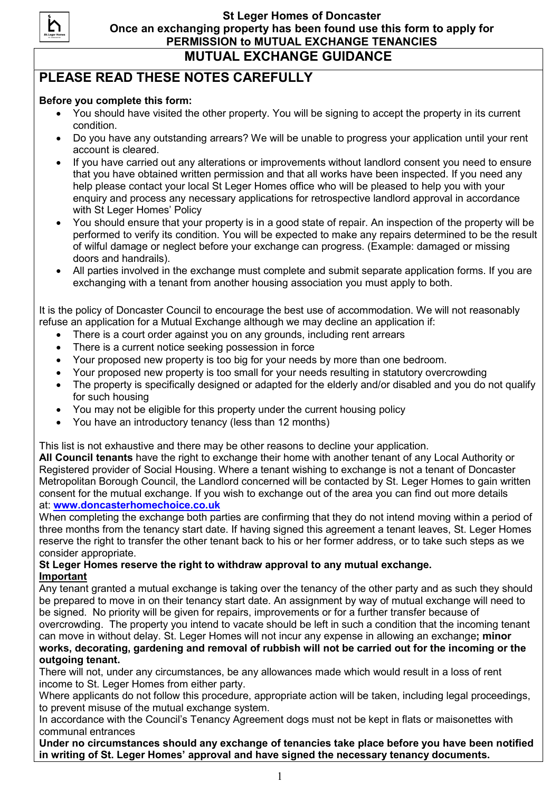

## PLEASE READ THESE NOTES CAREFULLY

### Before you complete this form:

- You should have visited the other property. You will be signing to accept the property in its current condition.
- Do you have any outstanding arrears? We will be unable to progress your application until your rent account is cleared.
- If you have carried out any alterations or improvements without landlord consent you need to ensure that you have obtained written permission and that all works have been inspected. If you need any help please contact your local St Leger Homes office who will be pleased to help you with your enquiry and process any necessary applications for retrospective landlord approval in accordance with St Leger Homes' Policy
- You should ensure that your property is in a good state of repair. An inspection of the property will be performed to verify its condition. You will be expected to make any repairs determined to be the result of wilful damage or neglect before your exchange can progress. (Example: damaged or missing doors and handrails).
- All parties involved in the exchange must complete and submit separate application forms. If you are exchanging with a tenant from another housing association you must apply to both.

It is the policy of Doncaster Council to encourage the best use of accommodation. We will not reasonably refuse an application for a Mutual Exchange although we may decline an application if:

- There is a court order against you on any grounds, including rent arrears
- There is a current notice seeking possession in force
- Your proposed new property is too big for your needs by more than one bedroom.
- Your proposed new property is too small for your needs resulting in statutory overcrowding
- The property is specifically designed or adapted for the elderly and/or disabled and you do not qualify for such housing
- You may not be eligible for this property under the current housing policy
- You have an introductory tenancy (less than 12 months)

This list is not exhaustive and there may be other reasons to decline your application.

All Council tenants have the right to exchange their home with another tenant of any Local Authority or Registered provider of Social Housing. Where a tenant wishing to exchange is not a tenant of Doncaster Metropolitan Borough Council, the Landlord concerned will be contacted by St. Leger Homes to gain written consent for the mutual exchange. If you wish to exchange out of the area you can find out more details at: www.doncasterhomechoice.co.uk

When completing the exchange both parties are confirming that they do not intend moving within a period of three months from the tenancy start date. If having signed this agreement a tenant leaves, St. Leger Homes reserve the right to transfer the other tenant back to his or her former address, or to take such steps as we consider appropriate.

#### St Leger Homes reserve the right to withdraw approval to any mutual exchange. Important

Any tenant granted a mutual exchange is taking over the tenancy of the other party and as such they should be prepared to move in on their tenancy start date. An assignment by way of mutual exchange will need to be signed. No priority will be given for repairs, improvements or for a further transfer because of overcrowding. The property you intend to vacate should be left in such a condition that the incoming tenant can move in without delay. St. Leger Homes will not incur any expense in allowing an exchange; minor works, decorating, gardening and removal of rubbish will not be carried out for the incoming or the outgoing tenant.

There will not, under any circumstances, be any allowances made which would result in a loss of rent income to St. Leger Homes from either party.

Where applicants do not follow this procedure, appropriate action will be taken, including legal proceedings, to prevent misuse of the mutual exchange system.

In accordance with the Council's Tenancy Agreement dogs must not be kept in flats or maisonettes with communal entrances

Under no circumstances should any exchange of tenancies take place before you have been notified in writing of St. Leger Homes' approval and have signed the necessary tenancy documents.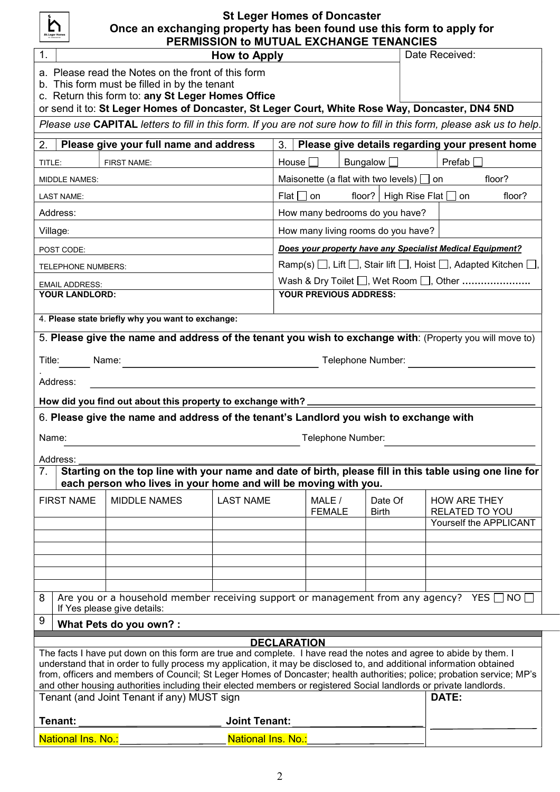| St. Leger Homes<br><b><i>GONCASTER</i></b> |
|--------------------------------------------|
|--------------------------------------------|

# St Leger Homes of Doncaster Once an exchanging property has been found use this form to apply for

|                                                                                                                                                                                                                                            | PERMISSION to MUTUAL EXCHANGE TENANCIES                                                    |                      |                                                         |                 |         |                     |                                                 |  |
|--------------------------------------------------------------------------------------------------------------------------------------------------------------------------------------------------------------------------------------------|--------------------------------------------------------------------------------------------|----------------------|---------------------------------------------------------|-----------------|---------|---------------------|-------------------------------------------------|--|
| 1.                                                                                                                                                                                                                                         | Date Received:<br>How to Apply                                                             |                      |                                                         |                 |         |                     |                                                 |  |
|                                                                                                                                                                                                                                            | a. Please read the Notes on the front of this form                                         |                      |                                                         |                 |         |                     |                                                 |  |
|                                                                                                                                                                                                                                            | b. This form must be filled in by the tenant                                               |                      |                                                         |                 |         |                     |                                                 |  |
|                                                                                                                                                                                                                                            | c. Return this form to: any St Leger Homes Office                                          |                      |                                                         |                 |         |                     |                                                 |  |
| or send it to: St Leger Homes of Doncaster, St Leger Court, White Rose Way, Doncaster, DN4 5ND                                                                                                                                             |                                                                                            |                      |                                                         |                 |         |                     |                                                 |  |
| Please use CAPITAL letters to fill in this form. If you are not sure how to fill in this form, please ask us to help.                                                                                                                      |                                                                                            |                      |                                                         |                 |         |                     |                                                 |  |
| 2.                                                                                                                                                                                                                                         | Please give your full name and address                                                     |                      | 3.                                                      |                 |         |                     | Please give details regarding your present home |  |
| TITLE:                                                                                                                                                                                                                                     | <b>FIRST NAME:</b>                                                                         |                      | House $\Box$                                            | Bungalow $\Box$ |         | Prefab              |                                                 |  |
| MIDDLE NAMES:                                                                                                                                                                                                                              |                                                                                            |                      | Maisonette (a flat with two levels) $\Box$ on<br>floor? |                 |         |                     |                                                 |  |
| <b>LAST NAME:</b>                                                                                                                                                                                                                          | floor?   High Rise Flat $\Box$ on<br>floor?<br>Flat I I on                                 |                      |                                                         |                 |         |                     |                                                 |  |
| Address:                                                                                                                                                                                                                                   |                                                                                            |                      | How many bedrooms do you have?                          |                 |         |                     |                                                 |  |
| Village:                                                                                                                                                                                                                                   | How many living rooms do you have?                                                         |                      |                                                         |                 |         |                     |                                                 |  |
| POST CODE:                                                                                                                                                                                                                                 | Does your property have any Specialist Medical Equipment?                                  |                      |                                                         |                 |         |                     |                                                 |  |
| <b>TELEPHONE NUMBERS:</b>                                                                                                                                                                                                                  | Ramp(s) $\Box$ , Lift $\Box$ , Stair lift $\Box$ , Hoist $\Box$ , Adapted Kitchen $\Box$ , |                      |                                                         |                 |         |                     |                                                 |  |
| <b>EMAIL ADDRESS:</b>                                                                                                                                                                                                                      |                                                                                            |                      |                                                         |                 |         |                     |                                                 |  |
| YOUR LANDLORD:                                                                                                                                                                                                                             | <b>YOUR PREVIOUS ADDRESS:</b>                                                              |                      |                                                         |                 |         |                     |                                                 |  |
| 4. Please state briefly why you want to exchange:                                                                                                                                                                                          |                                                                                            |                      |                                                         |                 |         |                     |                                                 |  |
| 5. Please give the name and address of the tenant you wish to exchange with: (Property you will move to)                                                                                                                                   |                                                                                            |                      |                                                         |                 |         |                     |                                                 |  |
|                                                                                                                                                                                                                                            |                                                                                            |                      |                                                         |                 |         |                     |                                                 |  |
| Title:<br>Telephone Number:<br>Name:                                                                                                                                                                                                       |                                                                                            |                      |                                                         |                 |         |                     |                                                 |  |
| Address:                                                                                                                                                                                                                                   |                                                                                            |                      |                                                         |                 |         |                     |                                                 |  |
| How did you find out about this property to exchange with?                                                                                                                                                                                 |                                                                                            |                      |                                                         |                 |         |                     |                                                 |  |
| 6. Please give the name and address of the tenant's Landlord you wish to exchange with                                                                                                                                                     |                                                                                            |                      |                                                         |                 |         |                     |                                                 |  |
| Name:<br>Telephone Number:                                                                                                                                                                                                                 |                                                                                            |                      |                                                         |                 |         |                     |                                                 |  |
|                                                                                                                                                                                                                                            |                                                                                            |                      |                                                         |                 |         |                     |                                                 |  |
| Address:<br>Starting on the top line with your name and date of birth, please fill in this table using one line for<br>7 <sub>1</sub>                                                                                                      |                                                                                            |                      |                                                         |                 |         |                     |                                                 |  |
| each person who lives in your home and will be moving with you.                                                                                                                                                                            |                                                                                            |                      |                                                         |                 |         |                     |                                                 |  |
| <b>FIRST NAME</b>                                                                                                                                                                                                                          | <b>MIDDLE NAMES</b>                                                                        | <b>LAST NAME</b>     | MALE /                                                  |                 | Date Of | <b>HOW ARE THEY</b> |                                                 |  |
|                                                                                                                                                                                                                                            |                                                                                            |                      | <b>FEMALE</b>                                           | <b>Birth</b>    |         | RELATED TO YOU      |                                                 |  |
|                                                                                                                                                                                                                                            |                                                                                            |                      |                                                         |                 |         |                     | Yourself the APPLICANT                          |  |
|                                                                                                                                                                                                                                            |                                                                                            |                      |                                                         |                 |         |                     |                                                 |  |
|                                                                                                                                                                                                                                            |                                                                                            |                      |                                                         |                 |         |                     |                                                 |  |
|                                                                                                                                                                                                                                            |                                                                                            |                      |                                                         |                 |         |                     |                                                 |  |
|                                                                                                                                                                                                                                            |                                                                                            |                      |                                                         |                 |         |                     |                                                 |  |
| Are you or a household member receiving support or management from any agency? YES $\Box$ NO $\Box$<br>8                                                                                                                                   |                                                                                            |                      |                                                         |                 |         |                     |                                                 |  |
| If Yes please give details:<br>9                                                                                                                                                                                                           |                                                                                            |                      |                                                         |                 |         |                     |                                                 |  |
| What Pets do you own? :                                                                                                                                                                                                                    |                                                                                            |                      |                                                         |                 |         |                     |                                                 |  |
| <b>DECLARATION</b>                                                                                                                                                                                                                         |                                                                                            |                      |                                                         |                 |         |                     |                                                 |  |
| The facts I have put down on this form are true and complete. I have read the notes and agree to abide by them. I<br>understand that in order to fully process my application, it may be disclosed to, and additional information obtained |                                                                                            |                      |                                                         |                 |         |                     |                                                 |  |
| from, officers and members of Council; St Leger Homes of Doncaster; health authorities; police; probation service; MP's                                                                                                                    |                                                                                            |                      |                                                         |                 |         |                     |                                                 |  |
| and other housing authorities including their elected members or registered Social landlords or private landlords.                                                                                                                         |                                                                                            |                      |                                                         |                 |         |                     |                                                 |  |
| Tenant (and Joint Tenant if any) MUST sign<br>DATE:                                                                                                                                                                                        |                                                                                            |                      |                                                         |                 |         |                     |                                                 |  |
| Tenant:                                                                                                                                                                                                                                    |                                                                                            | <b>Joint Tenant:</b> |                                                         |                 |         |                     |                                                 |  |
| National Ins. No.:<br>National Ins. No.:                                                                                                                                                                                                   |                                                                                            |                      |                                                         |                 |         |                     |                                                 |  |